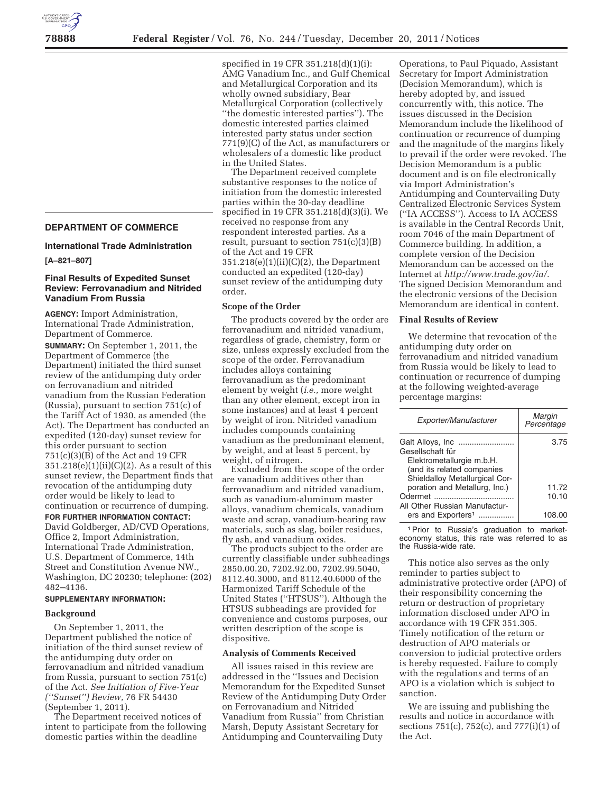# **DEPARTMENT OF COMMERCE**

**International Trade Administration** 

#### **[A–821–807]**

# **Final Results of Expedited Sunset Review: Ferrovanadium and Nitrided Vanadium From Russia**

**AGENCY:** Import Administration, International Trade Administration, Department of Commerce.

**SUMMARY:** On September 1, 2011, the Department of Commerce (the Department) initiated the third sunset review of the antidumping duty order on ferrovanadium and nitrided vanadium from the Russian Federation (Russia), pursuant to section 751(c) of the Tariff Act of 1930, as amended (the Act). The Department has conducted an expedited (120-day) sunset review for this order pursuant to section 751(c)(3)(B) of the Act and 19 CFR 351.218(e)(1)(ii)(C)(2). As a result of this sunset review, the Department finds that revocation of the antidumping duty order would be likely to lead to continuation or recurrence of dumping.

#### **FOR FURTHER INFORMATION CONTACT:**

David Goldberger, AD/CVD Operations, Office 2, Import Administration, International Trade Administration, U.S. Department of Commerce, 14th Street and Constitution Avenue NW., Washington, DC 20230; telephone: (202) 482–4136.

#### **SUPPLEMENTARY INFORMATION:**

#### **Background**

On September 1, 2011, the Department published the notice of initiation of the third sunset review of the antidumping duty order on ferrovanadium and nitrided vanadium from Russia, pursuant to section 751(c) of the Act. *See Initiation of Five-Year (''Sunset'') Review,* 76 FR 54430 (September 1, 2011).

The Department received notices of intent to participate from the following domestic parties within the deadline

specified in 19 CFR 351.218(d)(1)(i): AMG Vanadium Inc., and Gulf Chemical and Metallurgical Corporation and its wholly owned subsidiary, Bear Metallurgical Corporation (collectively ''the domestic interested parties''). The domestic interested parties claimed interested party status under section 771(9)(C) of the Act, as manufacturers or wholesalers of a domestic like product in the United States.

The Department received complete substantive responses to the notice of initiation from the domestic interested parties within the 30-day deadline specified in 19 CFR 351.218(d)(3)(i). We received no response from any respondent interested parties. As a result, pursuant to section 751(c)(3)(B) of the Act and 19 CFR 351.218(e)(1)(ii)(C)(2), the Department conducted an expedited (120-day) sunset review of the antidumping duty order.

## **Scope of the Order**

The products covered by the order are ferrovanadium and nitrided vanadium, regardless of grade, chemistry, form or size, unless expressly excluded from the scope of the order. Ferrovanadium includes alloys containing ferrovanadium as the predominant element by weight (*i.e.,* more weight than any other element, except iron in some instances) and at least 4 percent by weight of iron. Nitrided vanadium includes compounds containing vanadium as the predominant element, by weight, and at least 5 percent, by weight, of nitrogen.

Excluded from the scope of the order are vanadium additives other than ferrovanadium and nitrided vanadium, such as vanadium-aluminum master alloys, vanadium chemicals, vanadium waste and scrap, vanadium-bearing raw materials, such as slag, boiler residues, fly ash, and vanadium oxides.

The products subject to the order are currently classifiable under subheadings 2850.00.20, 7202.92.00, 7202.99.5040, 8112.40.3000, and 8112.40.6000 of the Harmonized Tariff Schedule of the United States (''HTSUS''). Although the HTSUS subheadings are provided for convenience and customs purposes, our written description of the scope is dispositive.

## **Analysis of Comments Received**

All issues raised in this review are addressed in the ''Issues and Decision Memorandum for the Expedited Sunset Review of the Antidumping Duty Order on Ferrovanadium and Nitrided Vanadium from Russia'' from Christian Marsh, Deputy Assistant Secretary for Antidumping and Countervailing Duty

Operations, to Paul Piquado, Assistant Secretary for Import Administration (Decision Memorandum), which is hereby adopted by, and issued concurrently with, this notice. The issues discussed in the Decision Memorandum include the likelihood of continuation or recurrence of dumping and the magnitude of the margins likely to prevail if the order were revoked. The Decision Memorandum is a public document and is on file electronically via Import Administration's Antidumping and Countervailing Duty Centralized Electronic Services System (''IA ACCESS''). Access to IA ACCESS is available in the Central Records Unit, room 7046 of the main Department of Commerce building. In addition, a complete version of the Decision Memorandum can be accessed on the Internet at *http://www.trade.gov/ia/.*  The signed Decision Memorandum and the electronic versions of the Decision Memorandum are identical in content.

#### **Final Results of Review**

We determine that revocation of the antidumping duty order on ferrovanadium and nitrided vanadium from Russia would be likely to lead to continuation or recurrence of dumping at the following weighted-average percentage margins:

| Exporter/Manufacturer          | Margin<br>Percentage |
|--------------------------------|----------------------|
|                                | 3.75                 |
| Gesellschaft für               |                      |
| Elektrometallurgie m.b.H.      |                      |
| (and its related companies     |                      |
| Shieldalloy Metallurgical Cor- |                      |
| poration and Metallurg, Inc.)  | 11.72                |
| Odermet                        | 10.10                |
| All Other Russian Manufactur-  |                      |
| ers and Exporters <sup>1</sup> | 108.00               |

1Prior to Russia's graduation to marketeconomy status, this rate was referred to as the Russia-wide rate.

This notice also serves as the only reminder to parties subject to administrative protective order (APO) of their responsibility concerning the return or destruction of proprietary information disclosed under APO in accordance with 19 CFR 351.305. Timely notification of the return or destruction of APO materials or conversion to judicial protective orders is hereby requested. Failure to comply with the regulations and terms of an APO is a violation which is subject to sanction.

We are issuing and publishing the results and notice in accordance with sections 751(c), 752(c), and 777(i)(1) of the Act.